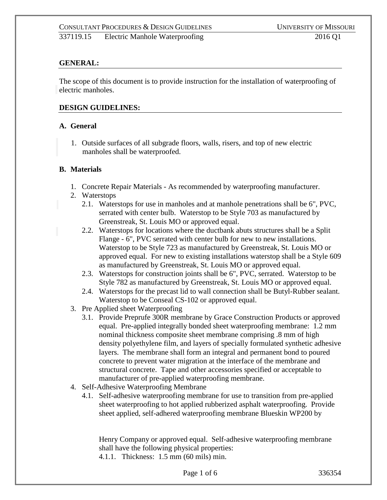## **GENERAL:**

The scope of this document is to provide instruction for the installation of waterproofing of electric manholes.

#### **DESIGN GUIDELINES:**

#### **A. General**

1. Outside surfaces of all subgrade floors, walls, risers, and top of new electric manholes shall be waterproofed.

#### **B. Materials**

- 1. Concrete Repair Materials As recommended by waterproofing manufacturer.
- 2. Waterstops
	- 2.1. Waterstops for use in manholes and at manhole penetrations shall be 6", PVC, serrated with center bulb. Waterstop to be Style 703 as manufactured by Greenstreak, St. Louis MO or approved equal.
	- 2.2. Waterstops for locations where the ductbank abuts structures shall be a Split Flange - 6", PVC serrated with center bulb for new to new installations. Waterstop to be Style 723 as manufactured by Greenstreak, St. Louis MO or approved equal. For new to existing installations waterstop shall be a Style 609 as manufactured by Greenstreak, St. Louis MO or approved equal.
	- 2.3. Waterstops for construction joints shall be 6", PVC, serrated. Waterstop to be Style 782 as manufactured by Greenstreak, St. Louis MO or approved equal.
	- 2.4. Waterstops for the precast lid to wall connection shall be Butyl-Rubber sealant. Waterstop to be Conseal CS-102 or approved equal.
- 3. Pre Applied sheet Waterproofing
	- 3.1. Provide Preprufe 300R membrane by Grace Construction Products or approved equal. Pre-applied integrally bonded sheet waterproofing membrane: 1.2 mm nominal thickness composite sheet membrane comprising .8 mm of high density polyethylene film, and layers of specially formulated synthetic adhesive layers. The membrane shall form an integral and permanent bond to poured concrete to prevent water migration at the interface of the membrane and structural concrete. Tape and other accessories specified or acceptable to manufacturer of pre-applied waterproofing membrane.
- 4. Self-Adhesive Waterproofing Membrane
	- 4.1. Self-adhesive waterproofing membrane for use to transition from pre-applied sheet waterproofing to hot applied rubberized asphalt waterproofing. Provide sheet applied, self-adhered waterproofing membrane Blueskin WP200 by

Henry Company or approved equal. Self-adhesive waterproofing membrane shall have the following physical properties: 4.1.1. Thickness: 1.5 mm (60 mils) min.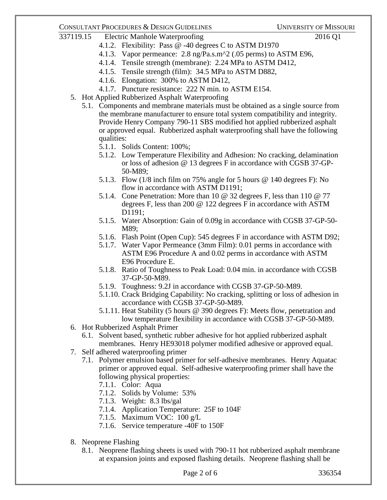## CONSULTANT PROCEDURES & DESIGN GUIDELINES UNIVERSITY OF MISSOURI

- 337119.15 Electric Manhole Waterproofing 2016 Q1
	- 4.1.2. Flexibility: Pass @ -40 degrees C to ASTM D1970
	- 4.1.3. Vapor permeance: 2.8 ng/Pa.s.m^2 (.05 perms) to ASTM E96,
	- 4.1.4. Tensile strength (membrane): 2.24 MPa to ASTM D412,
	- 4.1.5. Tensile strength (film): 34.5 MPa to ASTM D882,
	- 4.1.6. Elongation: 300% to ASTM D412,
	- 4.1.7. Puncture resistance: 222 N min. to ASTM E154.
	- 5. Hot Applied Rubberized Asphalt Waterproofing
		- 5.1. Components and membrane materials must be obtained as a single source from the membrane manufacturer to ensure total system compatibility and integrity. Provide Henry Company 790-11 SBS modified hot applied rubberized asphalt or approved equal. Rubberized asphalt waterproofing shall have the following qualities:
			- 5.1.1. Solids Content: 100%;
			- 5.1.2. Low Temperature Flexibility and Adhesion: No cracking, delamination or loss of adhesion @ 13 degrees F in accordance with CGSB 37-GP-50-M89;
			- 5.1.3. Flow (1/8 inch film on 75% angle for 5 hours @ 140 degrees F): No flow in accordance with ASTM D1191;
			- 5.1.4. Cone Penetration: More than 10 @ 32 degrees F, less than 110 @ 77 degrees F, less than 200 @ 122 degrees F in accordance with ASTM D<sub>1191</sub>:
			- 5.1.5. Water Absorption: Gain of 0.09g in accordance with CGSB 37-GP-50- M89;
			- 5.1.6. Flash Point (Open Cup): 545 degrees F in accordance with ASTM D92;
			- 5.1.7. Water Vapor Permeance (3mm Film): 0.01 perms in accordance with ASTM E96 Procedure A and 0.02 perms in accordance with ASTM E96 Procedure E.
			- 5.1.8. Ratio of Toughness to Peak Load: 0.04 min. in accordance with CGSB 37-GP-50-M89.
			- 5.1.9. Toughness: 9.2J in accordance with CGSB 37-GP-50-M89.
			- 5.1.10. Crack Bridging Capability: No cracking, splitting or loss of adhesion in accordance with CGSB 37-GP-50-M89.
			- 5.1.11. Heat Stability (5 hours @ 390 degrees F): Meets flow, penetration and low temperature flexibility in accordance with CGSB 37-GP-50-M89.
	- 6. Hot Rubberized Asphalt Primer
		- 6.1. Solvent based, synthetic rubber adhesive for hot applied rubberized asphalt membranes. Henry HE93018 polymer modified adhesive or approved equal.
	- 7. Self adhered waterproofing primer
		- 7.1. Polymer emulsion based primer for self-adhesive membranes. Henry Aquatac primer or approved equal. Self-adhesive waterproofing primer shall have the following physical properties:
			- 7.1.1. Color: Aqua
			- 7.1.2. Solids by Volume: 53%
			- 7.1.3. Weight: 8.3 lbs/gal
			- 7.1.4. Application Temperature: 25F to 104F
			- 7.1.5. Maximum VOC: 100 g/L
			- 7.1.6. Service temperature -40F to 150F
	- 8. Neoprene Flashing
		- 8.1. Neoprene flashing sheets is used with 790-11 hot rubberized asphalt membrane at expansion joints and exposed flashing details. Neoprene flashing shall be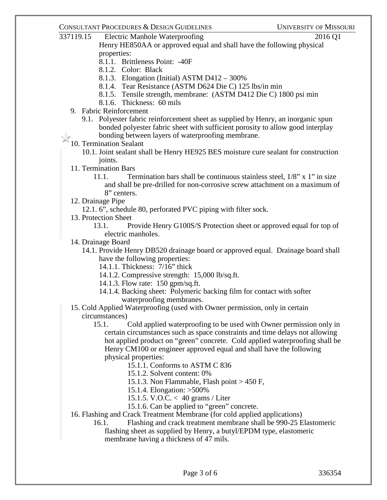## CONSULTANT PROCEDURES & DESIGN GUIDELINES UNIVERSITY OF MISSOURI

337119.15 Electric Manhole Waterproofing 2016 Q1 Henry HE850AA or approved equal and shall have the following physical properties:

- 8.1.1. Brittleness Point: -40F
- 8.1.2. Color: Black
- 8.1.3. Elongation (Initial) ASTM D412 300%
- 8.1.4. Tear Resistance (ASTM D624 Die C) 125 lbs/in min
- 8.1.5. Tensile strength, membrane: (ASTM D412 Die C) 1800 psi min
- 8.1.6. Thickness: 60 mils
- 9. Fabric Reinforcement
	- 9.1. Polyester fabric reinforcement sheet as supplied by Henry, an inorganic spun bonded polyester fabric sheet with sufficient porosity to allow good interplay bonding between layers of waterproofing membrane.
- 10. Termination Sealant
	- 10.1. Joint sealant shall be Henry HE925 BES moisture cure sealant for construction joints.
- 11. Termination Bars
	- 11.1. Termination bars shall be continuous stainless steel, 1/8" x 1" in size and shall be pre-drilled for non-corrosive screw attachment on a maximum of 8" centers.
- 12. Drainage Pipe
	- 12.1. 6", schedule 80, perforated PVC piping with filter sock.
- 13. Protection Sheet
	- 13.1. Provide Henry G100S/S Protection sheet or approved equal for top of electric manholes.
- 14. Drainage Board
	- 14.1. Provide Henry DB520 drainage board or approved equal. Drainage board shall have the following properties:
		- 14.1.1. Thickness: 7/16" thick
		- 14.1.2. Compressive strength: 15,000 lb/sq.ft.
		- 14.1.3. Flow rate: 150 gpm/sq.ft.
		- 14.1.4. Backing sheet: Polymeric backing film for contact with softer waterproofing membranes.
- 15. Cold Applied Waterproofing (used with Owner permission, only in certain circumstances)
	- 15.1. Cold applied waterproofing to be used with Owner permission only in certain circumstances such as space constraints and time delays not allowing hot applied product on "green" concrete. Cold applied waterproofing shall be Henry CM100 or engineer approved equal and shall have the following physical properties:
		- 15.1.1. Conforms to ASTM C 836
		- 15.1.2. Solvent content: 0%
		- 15.1.3. Non Flammable, Flash point > 450 F,
		- 15.1.4. Elongation: >500%
		- 15.1.5. V.O.C. < 40 grams / Liter
		- 15.1.6. Can be applied to "green" concrete.
- 16. Flashing and Crack Treatment Membrane (for cold applied applications)
	- 16.1. Flashing and crack treatment membrane shall be 990-25 Elastomeric flashing sheet as supplied by Henry, a butyl/EPDM type, elastomeric membrane having a thickness of 47 mils.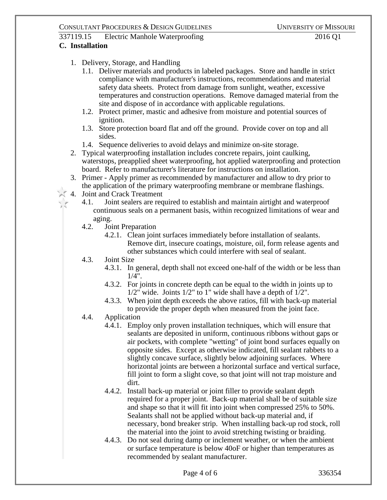# 337119.15 Electric Manhole Waterproofing 2016 Q1

# **C. Installation**

- 1. Delivery, Storage, and Handling
	- 1.1. Deliver materials and products in labeled packages. Store and handle in strict compliance with manufacturer's instructions, recommendations and material safety data sheets. Protect from damage from sunlight, weather, excessive temperatures and construction operations. Remove damaged material from the site and dispose of in accordance with applicable regulations.
	- 1.2. Protect primer, mastic and adhesive from moisture and potential sources of ignition.
	- 1.3. Store protection board flat and off the ground. Provide cover on top and all sides.
	- 1.4. Sequence deliveries to avoid delays and minimize on-site storage.
- 2. Typical waterproofing installation includes concrete repairs, joint caulking, waterstops, preapplied sheet waterproofing, hot applied waterproofing and protection board. Refer to manufacturer's literature for instructions on installation.
- 3. Primer Apply primer as recommended by manufacturer and allow to dry prior to the application of the primary waterproofing membrane or membrane flashings.
- 4. Joint and Crack Treatment
	- 4.1. Joint sealers are required to establish and maintain airtight and waterproof continuous seals on a permanent basis, within recognized limitations of wear and aging.<br>4.2. Joi
	- Joint Preparation
		- 4.2.1. Clean joint surfaces immediately before installation of sealants. Remove dirt, insecure coatings, moisture, oil, form release agents and other substances which could interfere with seal of sealant.
	- 4.3. Joint Size
		- 4.3.1. In general, depth shall not exceed one-half of the width or be less than  $1/4"$ .
		- 4.3.2. For joints in concrete depth can be equal to the width in joints up to  $1/2$ " wide. Joints  $1/2$ " to 1" wide shall have a depth of  $1/2$ ".
		- 4.3.3. When joint depth exceeds the above ratios, fill with back-up material to provide the proper depth when measured from the joint face.
	- 4.4. Application
		- 4.4.1. Employ only proven installation techniques, which will ensure that sealants are deposited in uniform, continuous ribbons without gaps or air pockets, with complete "wetting" of joint bond surfaces equally on opposite sides. Except as otherwise indicated, fill sealant rabbets to a slightly concave surface, slightly below adjoining surfaces. Where horizontal joints are between a horizontal surface and vertical surface, fill joint to form a slight cove, so that joint will not trap moisture and dirt.
		- 4.4.2. Install back-up material or joint filler to provide sealant depth required for a proper joint. Back-up material shall be of suitable size and shape so that it will fit into joint when compressed 25% to 50%. Sealants shall not be applied without back-up material and, if necessary, bond breaker strip. When installing back-up rod stock, roll the material into the joint to avoid stretching twisting or braiding.
		- 4.4.3. Do not seal during damp or inclement weather, or when the ambient or surface temperature is below 40oF or higher than temperatures as recommended by sealant manufacturer.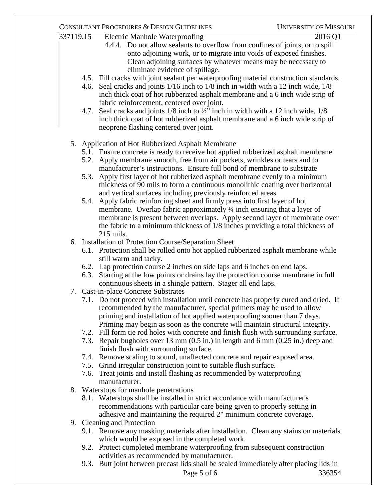# CONSULTANT PROCEDURES & DESIGN GUIDELINES UNIVERSITY OF MISSOURI

- 337119.15 Electric Manhole Waterproofing 2016 Q1
	-
	- 4.4.4. Do not allow sealants to overflow from confines of joints, or to spill onto adjoining work, or to migrate into voids of exposed finishes. Clean adjoining surfaces by whatever means may be necessary to eliminate evidence of spillage.
	- 4.5. Fill cracks with joint sealant per waterproofing material construction standards.
	- 4.6. Seal cracks and joints 1/16 inch to 1/8 inch in width with a 12 inch wide, 1/8 inch thick coat of hot rubberized asphalt membrane and a 6 inch wide strip of fabric reinforcement, centered over joint.
	- 4.7. Seal cracks and joints 1/8 inch to ½" inch in width with a 12 inch wide, 1/8 inch thick coat of hot rubberized asphalt membrane and a 6 inch wide strip of neoprene flashing centered over joint.
	- 5. Application of Hot Rubberized Asphalt Membrane
		- 5.1. Ensure concrete is ready to receive hot applied rubberized asphalt membrane.
		- 5.2. Apply membrane smooth, free from air pockets, wrinkles or tears and to manufacturer's instructions. Ensure full bond of membrane to substrate
		- 5.3. Apply first layer of hot rubberized asphalt membrane evenly to a minimum thickness of 90 mils to form a continuous monolithic coating over horizontal and vertical surfaces including previously reinforced areas.
		- 5.4. Apply fabric reinforcing sheet and firmly press into first layer of hot membrane. Overlap fabric approximately ¼ inch ensuring that a layer of membrane is present between overlaps. Apply second layer of membrane over the fabric to a minimum thickness of 1/8 inches providing a total thickness of 215 mils.
	- 6. Installation of Protection Course/Separation Sheet
		- 6.1. Protection shall be rolled onto hot applied rubberized asphalt membrane while still warm and tacky.
		- 6.2. Lap protection course 2 inches on side laps and 6 inches on end laps.
		- 6.3. Starting at the low points or drains lay the protection course membrane in full continuous sheets in a shingle pattern. Stager all end laps.
	- 7. Cast-in-place Concrete Substrates
		- 7.1. Do not proceed with installation until concrete has properly cured and dried. If recommended by the manufacturer, special primers may be used to allow priming and installation of hot applied waterproofing sooner than 7 days. Priming may begin as soon as the concrete will maintain structural integrity.
		- 7.2. Fill form tie rod holes with concrete and finish flush with surrounding surface.
		- 7.3. Repair bugholes over 13 mm (0.5 in.) in length and 6 mm (0.25 in.) deep and finish flush with surrounding surface.
		- 7.4. Remove scaling to sound, unaffected concrete and repair exposed area.
		- 7.5. Grind irregular construction joint to suitable flush surface.
		- 7.6. Treat joints and install flashing as recommended by waterproofing manufacturer.
	- 8. Waterstops for manhole penetrations
		- 8.1. Waterstops shall be installed in strict accordance with manufacturer's recommendations with particular care being given to properly setting in adhesive and maintaining the required 2" minimum concrete coverage.
	- 9. Cleaning and Protection
		- 9.1. Remove any masking materials after installation. Clean any stains on materials which would be exposed in the completed work.
		- 9.2. Protect completed membrane waterproofing from subsequent construction activities as recommended by manufacturer.
		- 9.3. Butt joint between precast lids shall be sealed immediately after placing lids in